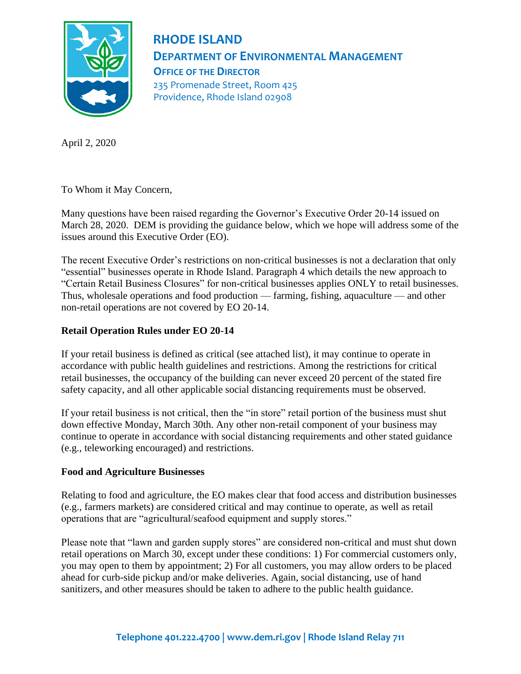

## **RHODE ISLAND DEPARTMENT OF ENVIRONMENTAL MANAGEMENT OFFICE OF THE DIRECTOR** 235 Promenade Street, Room 425 Providence, Rhode Island 02908

April 2, 2020

To Whom it May Concern,

Many questions have been raised regarding the Governor's Executive Order 20-14 issued on March 28, 2020. DEM is providing the guidance below, which we hope will address some of the issues around this Executive Order (EO).

The recent Executive Order's restrictions on non-critical businesses is not a declaration that only "essential" businesses operate in Rhode Island. Paragraph 4 which details the new approach to "Certain Retail Business Closures" for non-critical businesses applies ONLY to retail businesses. Thus, wholesale operations and food production — farming, fishing, aquaculture — and other non-retail operations are not covered by EO 20-14.

## **Retail Operation Rules under EO 20-14**

If your retail business is defined as critical (see attached list), it may continue to operate in accordance with public health guidelines and restrictions. Among the restrictions for critical retail businesses, the occupancy of the building can never exceed 20 percent of the stated fire safety capacity, and all other applicable social distancing requirements must be observed.

If your retail business is not critical, then the "in store" retail portion of the business must shut down effective Monday, March 30th. Any other non-retail component of your business may continue to operate in accordance with social distancing requirements and other stated guidance (e.g., teleworking encouraged) and restrictions.

## **Food and Agriculture Businesses**

Relating to food and agriculture, the EO makes clear that food access and distribution businesses (e.g., farmers markets) are considered critical and may continue to operate, as well as retail operations that are "agricultural/seafood equipment and supply stores."

Please note that "lawn and garden supply stores" are considered non-critical and must shut down retail operations on March 30, except under these conditions: 1) For commercial customers only, you may open to them by appointment; 2) For all customers, you may allow orders to be placed ahead for curb-side pickup and/or make deliveries. Again, social distancing, use of hand sanitizers, and other measures should be taken to adhere to the public health guidance.